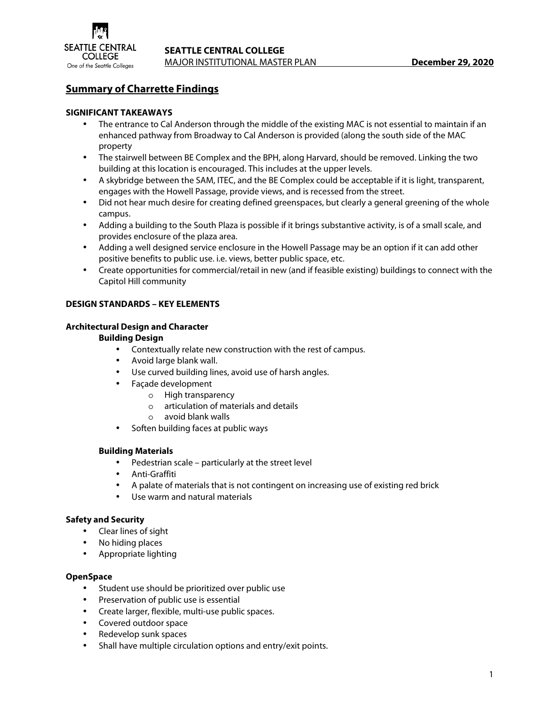

# **Summary of Charrette Findings**

# **SIGNIFICANT TAKEAWAYS**

- The entrance to Cal Anderson through the middle of the existing MAC is not essential to maintain if an enhanced pathway from Broadway to Cal Anderson is provided (along the south side of the MAC property
- The stairwell between BE Complex and the BPH, along Harvard, should be removed. Linking the two building at this location is encouraged. This includes at the upper levels.
- A skybridge between the SAM, ITEC, and the BE Complex could be acceptable if it is light, transparent, engages with the Howell Passage, provide views, and is recessed from the street.
- Did not hear much desire for creating defined greenspaces, but clearly a general greening of the whole campus.
- Adding a building to the South Plaza is possible if it brings substantive activity, is of a small scale, and provides enclosure of the plaza area.
- Adding a well designed service enclosure in the Howell Passage may be an option if it can add other positive benefits to public use. i.e. views, better public space, etc.
- Create opportunities for commercial/retail in new (and if feasible existing) buildings to connect with the Capitol Hill community

# **DESIGN STANDARDS – KEY ELEMENTS**

# **Architectural Design and Character**

### **Building Design**

- Contextually relate new construction with the rest of campus.
- Avoid large blank wall.
- Use curved building lines, avoid use of harsh angles.
- Façade development
	- o High transparency
	- o articulation of materials and details
	- o avoid blank walls
- Soften building faces at public ways

# **Building Materials**

- Pedestrian scale particularly at the street level
- Anti-Graffiti
- A palate of materials that is not contingent on increasing use of existing red brick
- Use warm and natural materials

# **Safety and Security**

- Clear lines of sight
- No hiding places
- Appropriate lighting

#### **OpenSpace**

- Student use should be prioritized over public use
- Preservation of public use is essential
- Create larger, flexible, multi-use public spaces.
- Covered outdoor space
- Redevelop sunk spaces
- Shall have multiple circulation options and entry/exit points.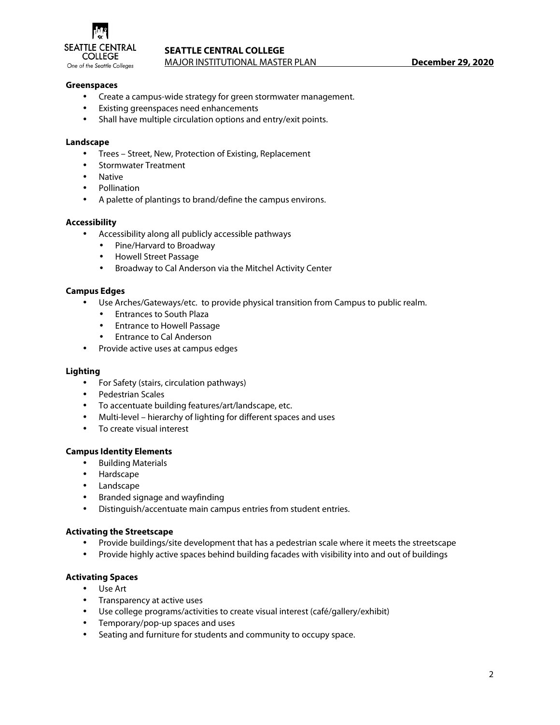

# **SEATTLE CENTRAL COLLEGE**

MAJOR INSTITUTIONAL MASTER PLAN **December 29, 2020** 

### **Greenspaces**

- Create a campus-wide strategy for green stormwater management.
- Existing greenspaces need enhancements
- Shall have multiple circulation options and entry/exit points.

#### **Landscape**

- Trees Street, New, Protection of Existing, Replacement
- Stormwater Treatment
- Native
- Pollination
- A palette of plantings to brand/define the campus environs.

#### **Accessibility**

- Accessibility along all publicly accessible pathways
	- Pine/Harvard to Broadway
	- Howell Street Passage
	- Broadway to Cal Anderson via the Mitchel Activity Center

#### **Campus Edges**

- Use Arches/Gateways/etc. to provide physical transition from Campus to public realm.
	- Entrances to South Plaza
	- Entrance to Howell Passage
	- Entrance to Cal Anderson
- Provide active uses at campus edges

#### **Lighting**

- For Safety (stairs, circulation pathways)
- Pedestrian Scales
- To accentuate building features/art/landscape, etc.
- Multi-level hierarchy of lighting for different spaces and uses
- To create visual interest

#### **Campus Identity Elements**

- Building Materials
- Hardscape
- Landscape
- Branded signage and wayfinding
- Distinguish/accentuate main campus entries from student entries.

#### **Activating the Streetscape**

- Provide buildings/site development that has a pedestrian scale where it meets the streetscape
- Provide highly active spaces behind building facades with visibility into and out of buildings

#### **Activating Spaces**

- Use Art
- Transparency at active uses
- Use college programs/activities to create visual interest (café/gallery/exhibit)
- Temporary/pop-up spaces and uses
- Seating and furniture for students and community to occupy space.